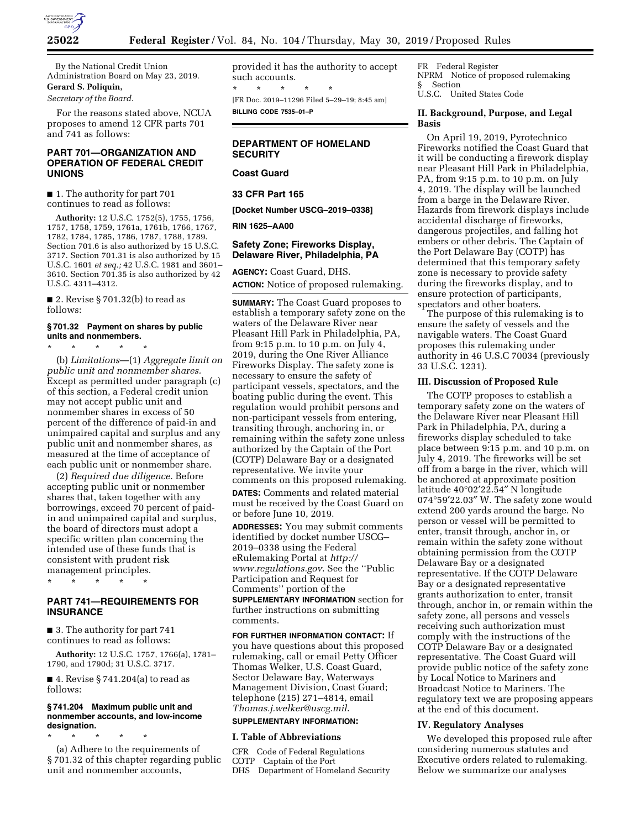

By the National Credit Union Administration Board on May 23, 2019.

# **Gerard S. Poliquin,**

*Secretary of the Board.* 

For the reasons stated above, NCUA proposes to amend 12 CFR parts 701 and 741 as follows:

# **PART 701—ORGANIZATION AND OPERATION OF FEDERAL CREDIT UNIONS**

■ 1. The authority for part 701 continues to read as follows:

**Authority:** 12 U.S.C. 1752(5), 1755, 1756, 1757, 1758, 1759, 1761a, 1761b, 1766, 1767, 1782, 1784, 1785, 1786, 1787, 1788, 1789. Section 701.6 is also authorized by 15 U.S.C. 3717. Section 701.31 is also authorized by 15 U.S.C. 1601 *et seq.;* 42 U.S.C. 1981 and 3601– 3610. Section 701.35 is also authorized by 42 U.S.C. 4311–4312.

■ 2. Revise § 701.32(b) to read as follows:

# **§ 701.32 Payment on shares by public units and nonmembers.**

\* \* \* \* \* (b) *Limitations*—(1) *Aggregate limit on public unit and nonmember shares.*  Except as permitted under paragraph (c) of this section, a Federal credit union may not accept public unit and nonmember shares in excess of 50 percent of the difference of paid-in and unimpaired capital and surplus and any public unit and nonmember shares, as measured at the time of acceptance of each public unit or nonmember share.

(2) *Required due diligence.* Before accepting public unit or nonmember shares that, taken together with any borrowings, exceed 70 percent of paidin and unimpaired capital and surplus, the board of directors must adopt a specific written plan concerning the intended use of these funds that is consistent with prudent risk management principles.

\* \* \* \* \*

### **PART 741—REQUIREMENTS FOR INSURANCE**

■ 3. The authority for part 741 continues to read as follows:

**Authority:** 12 U.S.C. 1757, 1766(a), 1781– 1790, and 1790d; 31 U.S.C. 3717.

 $\blacksquare$  4. Revise § 741.204(a) to read as follows:

#### **§ 741.204 Maximum public unit and nonmember accounts, and low-income designation.**

\* \* \* \* \* (a) Adhere to the requirements of § 701.32 of this chapter regarding public unit and nonmember accounts,

provided it has the authority to accept such accounts. \* \* \* \* \* [FR Doc. 2019–11296 Filed 5–29–19; 8:45 am] **BILLING CODE 7535–01–P** 

# **DEPARTMENT OF HOMELAND SECURITY**

# **Coast Guard**

**33 CFR Part 165** 

**[Docket Number USCG–2019–0338]** 

### **RIN 1625–AA00**

# **Safety Zone; Fireworks Display, Delaware River, Philadelphia, PA**

**AGENCY:** Coast Guard, DHS. **ACTION:** Notice of proposed rulemaking.

**SUMMARY:** The Coast Guard proposes to establish a temporary safety zone on the waters of the Delaware River near Pleasant Hill Park in Philadelphia, PA, from 9:15 p.m. to 10 p.m. on July 4, 2019, during the One River Alliance Fireworks Display. The safety zone is necessary to ensure the safety of participant vessels, spectators, and the boating public during the event. This regulation would prohibit persons and non-participant vessels from entering, transiting through, anchoring in, or remaining within the safety zone unless authorized by the Captain of the Port (COTP) Delaware Bay or a designated representative. We invite your comments on this proposed rulemaking.

**DATES:** Comments and related material must be received by the Coast Guard on or before June 10, 2019.

**ADDRESSES:** You may submit comments identified by docket number USCG– 2019–0338 using the Federal eRulemaking Portal at *[http://](http://www.regulations.gov) [www.regulations.gov](http://www.regulations.gov)*. See the ''Public Participation and Request for Comments'' portion of the **SUPPLEMENTARY INFORMATION** section for

further instructions on submitting comments.

### **FOR FURTHER INFORMATION CONTACT:** If

you have questions about this proposed rulemaking, call or email Petty Officer Thomas Welker, U.S. Coast Guard, Sector Delaware Bay, Waterways Management Division, Coast Guard; telephone (215) 271–4814, email *[Thomas.j.welker@uscg.mil](mailto:Thomas.j.welker@uscg.mil)*.

# **SUPPLEMENTARY INFORMATION:**

#### **I. Table of Abbreviations**

CFR Code of Federal Regulations COTP Captain of the Port DHS Department of Homeland Security

FR Federal Register NPRM Notice of proposed rulemaking § Section U.S.C. United States Code

### **II. Background, Purpose, and Legal Basis**

On April 19, 2019, Pyrotechnico Fireworks notified the Coast Guard that it will be conducting a firework display near Pleasant Hill Park in Philadelphia, PA, from 9:15 p.m. to 10 p.m. on July 4, 2019. The display will be launched from a barge in the Delaware River. Hazards from firework displays include accidental discharge of fireworks, dangerous projectiles, and falling hot embers or other debris. The Captain of the Port Delaware Bay (COTP) has determined that this temporary safety zone is necessary to provide safety during the fireworks display, and to ensure protection of participants, spectators and other boaters.

The purpose of this rulemaking is to ensure the safety of vessels and the navigable waters. The Coast Guard proposes this rulemaking under authority in 46 U.S.C 70034 (previously 33 U.S.C. 1231).

### **III. Discussion of Proposed Rule**

The COTP proposes to establish a temporary safety zone on the waters of the Delaware River near Pleasant Hill Park in Philadelphia, PA, during a fireworks display scheduled to take place between 9:15 p.m. and 10 p.m. on July 4, 2019. The fireworks will be set off from a barge in the river, which will be anchored at approximate position latitude 40°02′22.54″ N longitude 074°59′22.03″ W. The safety zone would extend 200 yards around the barge. No person or vessel will be permitted to enter, transit through, anchor in, or remain within the safety zone without obtaining permission from the COTP Delaware Bay or a designated representative. If the COTP Delaware Bay or a designated representative grants authorization to enter, transit through, anchor in, or remain within the safety zone, all persons and vessels receiving such authorization must comply with the instructions of the COTP Delaware Bay or a designated representative. The Coast Guard will provide public notice of the safety zone by Local Notice to Mariners and Broadcast Notice to Mariners. The regulatory text we are proposing appears at the end of this document.

#### **IV. Regulatory Analyses**

We developed this proposed rule after considering numerous statutes and Executive orders related to rulemaking. Below we summarize our analyses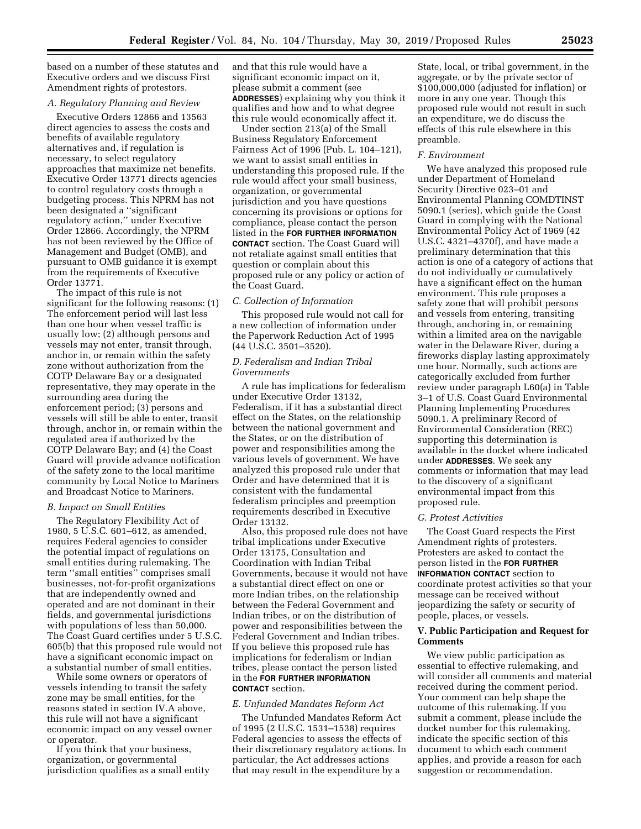based on a number of these statutes and Executive orders and we discuss First Amendment rights of protestors.

# *A. Regulatory Planning and Review*

Executive Orders 12866 and 13563 direct agencies to assess the costs and benefits of available regulatory alternatives and, if regulation is necessary, to select regulatory approaches that maximize net benefits. Executive Order 13771 directs agencies to control regulatory costs through a budgeting process. This NPRM has not been designated a ''significant regulatory action,'' under Executive Order 12866. Accordingly, the NPRM has not been reviewed by the Office of Management and Budget (OMB), and pursuant to OMB guidance it is exempt from the requirements of Executive Order 13771.

The impact of this rule is not significant for the following reasons: (1) The enforcement period will last less than one hour when vessel traffic is usually low; (2) although persons and vessels may not enter, transit through, anchor in, or remain within the safety zone without authorization from the COTP Delaware Bay or a designated representative, they may operate in the surrounding area during the enforcement period; (3) persons and vessels will still be able to enter, transit through, anchor in, or remain within the regulated area if authorized by the COTP Delaware Bay; and (4) the Coast Guard will provide advance notification of the safety zone to the local maritime community by Local Notice to Mariners and Broadcast Notice to Mariners.

#### *B. Impact on Small Entities*

The Regulatory Flexibility Act of 1980, 5 U.S.C. 601–612, as amended, requires Federal agencies to consider the potential impact of regulations on small entities during rulemaking. The term ''small entities'' comprises small businesses, not-for-profit organizations that are independently owned and operated and are not dominant in their fields, and governmental jurisdictions with populations of less than 50,000. The Coast Guard certifies under 5 U.S.C. 605(b) that this proposed rule would not have a significant economic impact on a substantial number of small entities.

While some owners or operators of vessels intending to transit the safety zone may be small entities, for the reasons stated in section IV.A above, this rule will not have a significant economic impact on any vessel owner or operator.

If you think that your business, organization, or governmental jurisdiction qualifies as a small entity and that this rule would have a significant economic impact on it, please submit a comment (see **ADDRESSES**) explaining why you think it qualifies and how and to what degree this rule would economically affect it.

Under section 213(a) of the Small Business Regulatory Enforcement Fairness Act of 1996 (Pub. L. 104–121), we want to assist small entities in understanding this proposed rule. If the rule would affect your small business, organization, or governmental jurisdiction and you have questions concerning its provisions or options for compliance, please contact the person listed in the **FOR FURTHER INFORMATION CONTACT** section. The Coast Guard will not retaliate against small entities that question or complain about this proposed rule or any policy or action of the Coast Guard.

### *C. Collection of Information*

This proposed rule would not call for a new collection of information under the Paperwork Reduction Act of 1995 (44 U.S.C. 3501–3520).

# *D. Federalism and Indian Tribal Governments*

A rule has implications for federalism under Executive Order 13132, Federalism, if it has a substantial direct effect on the States, on the relationship between the national government and the States, or on the distribution of power and responsibilities among the various levels of government. We have analyzed this proposed rule under that Order and have determined that it is consistent with the fundamental federalism principles and preemption requirements described in Executive Order 13132.

Also, this proposed rule does not have tribal implications under Executive Order 13175, Consultation and Coordination with Indian Tribal Governments, because it would not have a substantial direct effect on one or more Indian tribes, on the relationship between the Federal Government and Indian tribes, or on the distribution of power and responsibilities between the Federal Government and Indian tribes. If you believe this proposed rule has implications for federalism or Indian tribes, please contact the person listed in the **FOR FURTHER INFORMATION CONTACT** section.

#### *E. Unfunded Mandates Reform Act*

The Unfunded Mandates Reform Act of 1995 (2 U.S.C. 1531–1538) requires Federal agencies to assess the effects of their discretionary regulatory actions. In particular, the Act addresses actions that may result in the expenditure by a

State, local, or tribal government, in the aggregate, or by the private sector of \$100,000,000 (adjusted for inflation) or more in any one year. Though this proposed rule would not result in such an expenditure, we do discuss the effects of this rule elsewhere in this preamble.

### *F. Environment*

We have analyzed this proposed rule under Department of Homeland Security Directive 023–01 and Environmental Planning COMDTINST 5090.1 (series), which guide the Coast Guard in complying with the National Environmental Policy Act of 1969 (42 U.S.C. 4321–4370f), and have made a preliminary determination that this action is one of a category of actions that do not individually or cumulatively have a significant effect on the human environment. This rule proposes a safety zone that will prohibit persons and vessels from entering, transiting through, anchoring in, or remaining within a limited area on the navigable water in the Delaware River, during a fireworks display lasting approximately one hour. Normally, such actions are categorically excluded from further review under paragraph L60(a) in Table 3–1 of U.S. Coast Guard Environmental Planning Implementing Procedures 5090.1. A preliminary Record of Environmental Consideration (REC) supporting this determination is available in the docket where indicated under **ADDRESSES**. We seek any comments or information that may lead to the discovery of a significant environmental impact from this proposed rule.

#### *G. Protest Activities*

The Coast Guard respects the First Amendment rights of protesters. Protesters are asked to contact the person listed in the **FOR FURTHER INFORMATION CONTACT** section to coordinate protest activities so that your message can be received without jeopardizing the safety or security of people, places, or vessels.

### **V. Public Participation and Request for Comments**

We view public participation as essential to effective rulemaking, and will consider all comments and material received during the comment period. Your comment can help shape the outcome of this rulemaking. If you submit a comment, please include the docket number for this rulemaking, indicate the specific section of this document to which each comment applies, and provide a reason for each suggestion or recommendation.